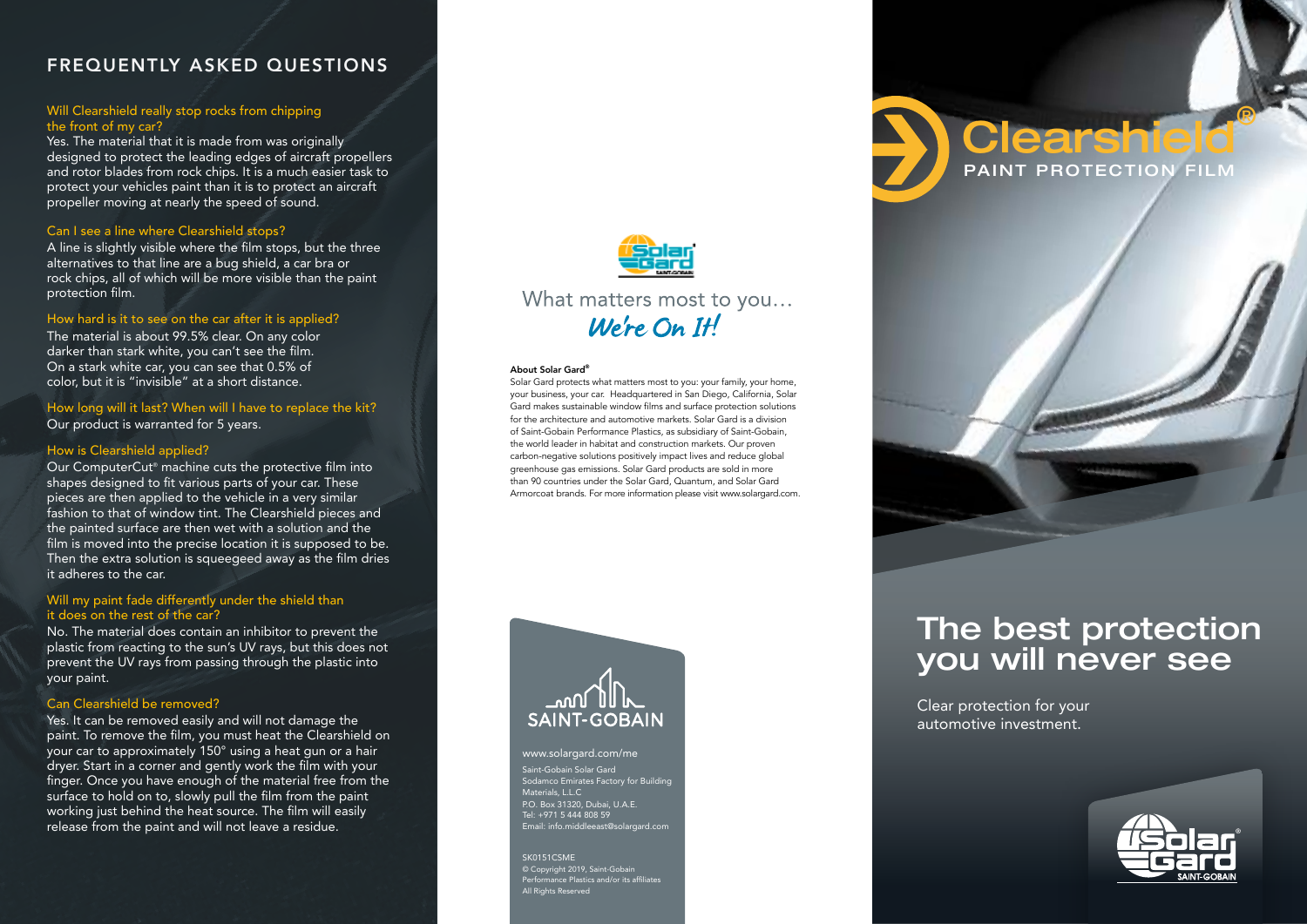## FREQUENTLY ASKED QUESTIONS

#### Will Clearshield really stop rocks from chipping the front of my car?

Yes. The material that it is made from was originally designed to protect the leading edges of aircraft propellers and rotor blades from rock chips. It is a much easier task to protect your vehicles paint than it is to protect an aircraft propeller moving at nearly the speed of sound.

#### Can I see a line where Clearshield stops?

A line is slightly visible where the film stops, but the three alternatives to that line are a bug shield, a car bra or rock chips, all of which will be more visible than the paint protection film.

#### How hard is it to see on the car after it is applied?

The material is about 99.5% clear. On any color darker than stark white, you can't see the film. On a stark white car, you can see that 0.5% of color, but it is "invisible" at a short distance.

How long will it last? When will I have to replace the kit? Our product is warranted for 5 years.

#### How is Clearshield applied?

Our ComputerCut® machine cuts the protective film into shapes designed to fit various parts of your car. These pieces are then applied to the vehicle in a very similar fashion to that of window tint. The Clearshield pieces and the painted surface are then wet with a solution and the film is moved into the precise location it is supposed to be. Then the extra solution is squeegeed away as the film dries it adheres to the car.

#### Will my paint fade differently under the shield than it does on the rest of the car?

No. The material does contain an inhibitor to prevent the plastic from reacting to the sun's UV rays, but this does not prevent the UV rays from passing through the plastic into your paint.

#### Can Clearshield be removed?

Yes. It can be removed easily and will not damage the paint. To remove the film, you must heat the Clearshield on your car to approximately 150° using a heat gun or a hair dryer. Start in a corner and gently work the film with your finger. Once you have enough of the material free from the surface to hold on to, slowly pull the film from the paint working just behind the heat source. The film will easily release from the paint and will not leave a residue.



What matters most to you...  $We're On H$ 

#### About Solar Gard®

Solar Gard protects what matters most to you: your family, your home, your business, your car. Headquartered in San Diego, California, Solar Gard makes sustainable window films and surface protection solutions for the architecture and automotive markets. Solar Gard is a division of Saint-Gobain Performance Plastics, as subsidiary of Saint-Gobain, the world leader in habitat and construction markets. Our proven carbon-negative solutions positively impact lives and reduce global greenhouse gas emissions. Solar Gard products are sold in more than 90 countries under the Solar Gard, Quantum, and Solar Gard Armorcoat brands. For more information please visit www.solargard.com.



Saint-Gobain Solar Gard Sodamco Emirates Factory for Building Materials, L.L.C P.O. Box 31320, Dubai, U.A.E. Tel: +971 5 444 808 59 Email: info.middleeast@solargard.com www.solargard.com/me

SK0151CSME © Copyright 2019, Saint-Gobain Performance Plastics and/or its affiliates All Rights Reserved

# PAINT PROTECTION FILM **learsh**



Clear protection for your automotive investment.